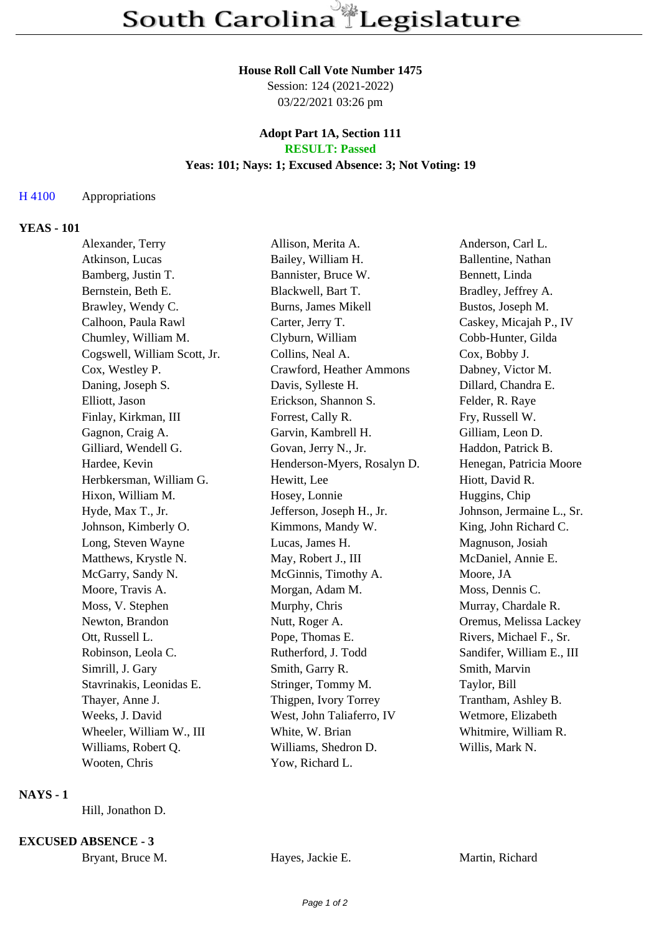#### **House Roll Call Vote Number 1475**

Session: 124 (2021-2022) 03/22/2021 03:26 pm

## **Adopt Part 1A, Section 111 RESULT: Passed**

# **Yeas: 101; Nays: 1; Excused Absence: 3; Not Voting: 19**

### H 4100 Appropriations

### **YEAS - 101**

| Alexander, Terry             | Allison, Merita A.          | Anderson, Carl L.         |
|------------------------------|-----------------------------|---------------------------|
| Atkinson, Lucas              | Bailey, William H.          | Ballentine, Nathan        |
| Bamberg, Justin T.           | Bannister, Bruce W.         | Bennett, Linda            |
| Bernstein, Beth E.           | Blackwell, Bart T.          | Bradley, Jeffrey A.       |
| Brawley, Wendy C.            | Burns, James Mikell         | Bustos, Joseph M.         |
| Calhoon, Paula Rawl          | Carter, Jerry T.            | Caskey, Micajah P., IV    |
| Chumley, William M.          | Clyburn, William            | Cobb-Hunter, Gilda        |
| Cogswell, William Scott, Jr. | Collins, Neal A.            | Cox, Bobby J.             |
| Cox, Westley P.              | Crawford, Heather Ammons    | Dabney, Victor M.         |
| Daning, Joseph S.            | Davis, Sylleste H.          | Dillard, Chandra E.       |
| Elliott, Jason               | Erickson, Shannon S.        | Felder, R. Raye           |
| Finlay, Kirkman, III         | Forrest, Cally R.           | Fry, Russell W.           |
| Gagnon, Craig A.             | Garvin, Kambrell H.         | Gilliam, Leon D.          |
| Gilliard, Wendell G.         | Govan, Jerry N., Jr.        | Haddon, Patrick B.        |
| Hardee, Kevin                | Henderson-Myers, Rosalyn D. | Henegan, Patricia Moore   |
| Herbkersman, William G.      | Hewitt, Lee                 | Hiott, David R.           |
| Hixon, William M.            | Hosey, Lonnie               | Huggins, Chip             |
| Hyde, Max T., Jr.            | Jefferson, Joseph H., Jr.   | Johnson, Jermaine L., Sr. |
| Johnson, Kimberly O.         | Kimmons, Mandy W.           | King, John Richard C.     |
| Long, Steven Wayne           | Lucas, James H.             | Magnuson, Josiah          |
| Matthews, Krystle N.         | May, Robert J., III         | McDaniel, Annie E.        |
| McGarry, Sandy N.            | McGinnis, Timothy A.        | Moore, JA                 |
| Moore, Travis A.             | Morgan, Adam M.             | Moss, Dennis C.           |
| Moss, V. Stephen             | Murphy, Chris               | Murray, Chardale R.       |
| Newton, Brandon              | Nutt, Roger A.              | Oremus, Melissa Lackey    |
| Ott, Russell L.              | Pope, Thomas E.             | Rivers, Michael F., Sr.   |
| Robinson, Leola C.           | Rutherford, J. Todd         | Sandifer, William E., III |
| Simrill, J. Gary             | Smith, Garry R.             | Smith, Marvin             |
| Stavrinakis, Leonidas E.     | Stringer, Tommy M.          | Taylor, Bill              |
| Thayer, Anne J.              | Thigpen, Ivory Torrey       | Trantham, Ashley B.       |
| Weeks, J. David              | West, John Taliaferro, IV   | Wetmore, Elizabeth        |
| Wheeler, William W., III     | White, W. Brian             | Whitmire, William R.      |
| Williams, Robert Q.          | Williams, Shedron D.        | Willis, Mark N.           |
| Wooten, Chris                | Yow, Richard L.             |                           |

#### **NAYS - 1**

Hill, Jonathon D.

#### **EXCUSED ABSENCE - 3**

|  | Bryant, Bruce M. | Hayes, Jackie E. | Martin, Richard |
|--|------------------|------------------|-----------------|
|--|------------------|------------------|-----------------|